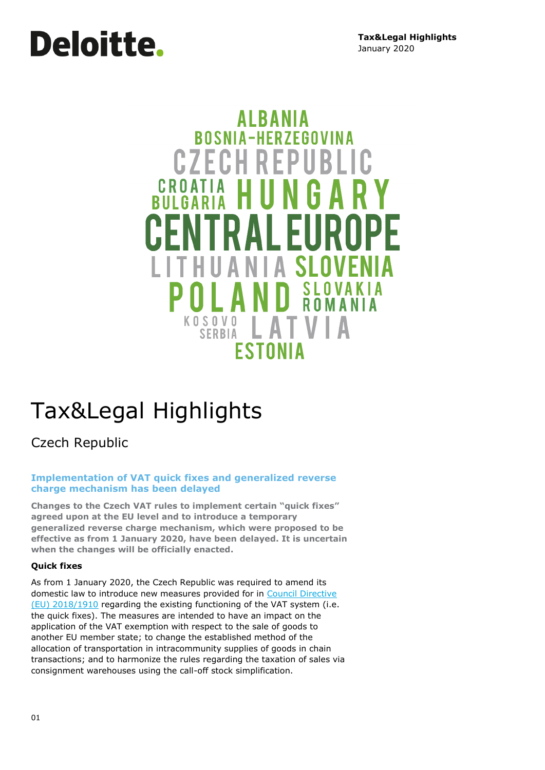# **Deloitte.**

### **AIRANIA ROSNIA-HERZEGOVINA CZECHREP** CROATIA H SI Д **KOSOVO** I A T **SERBIA ESTONIA**

## Tax&Legal Highlights

Czech Republic

#### **Implementation of VAT quick fixes and generalized reverse charge mechanism has been delayed**

**Changes to the Czech VAT rules to implement certain "quick fixes" agreed upon at the EU level and to introduce a temporary generalized reverse charge mechanism, which were proposed to be effective as from 1 January 2020, have been delayed. It is uncertain when the changes will be officially enacted.**

#### **Quick fixes**

As from 1 January 2020, the Czech Republic was required to amend its domestic law to introduce new measures provided for in Council Directive [\(EU\) 2018/1910](https://eur-lex.europa.eu/legal-content/EN/TXT/?uri=CELEX%3A32018L1910) regarding the existing functioning of the VAT system (i.e. the quick fixes). The measures are intended to have an impact on the application of the VAT exemption with respect to the sale of goods to another EU member state; to change the established method of the allocation of transportation in intracommunity supplies of goods in chain transactions; and to harmonize the rules regarding the taxation of sales via consignment warehouses using the call-off stock simplification.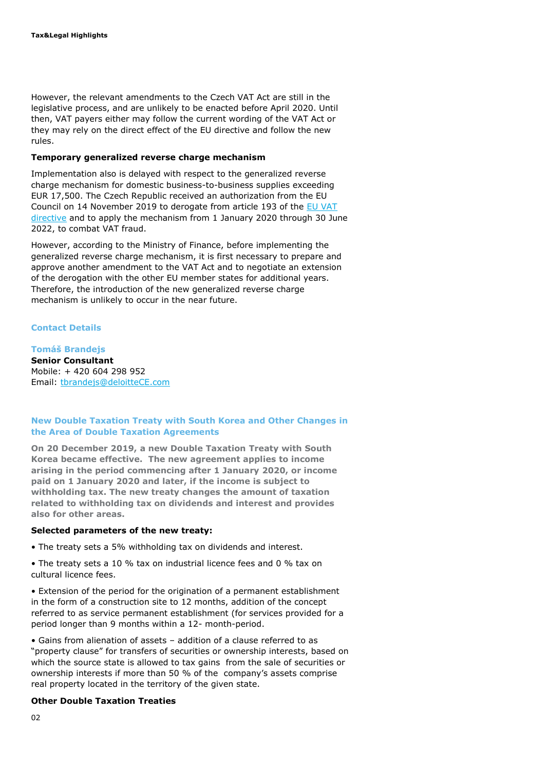However, the relevant amendments to the Czech VAT Act are still in the legislative process, and are unlikely to be enacted before April 2020. Until then, VAT payers either may follow the current wording of the VAT Act or they may rely on the direct effect of the EU directive and follow the new rules.

#### **Temporary generalized reverse charge mechanism**

Implementation also is delayed with respect to the generalized reverse charge mechanism for domestic business-to-business supplies exceeding EUR 17,500. The Czech Republic received an authorization from the EU Council on 14 November 2019 to derogate from article 193 of the [EU VAT](https://eur-lex.europa.eu/legal-content/EN/TXT/?uri=CELEX:02006L0112-20190116)  [directive](https://eur-lex.europa.eu/legal-content/EN/TXT/?uri=CELEX:02006L0112-20190116) and to apply the mechanism from 1 January 2020 through 30 June 2022, to combat VAT fraud.

However, according to the Ministry of Finance, before implementing the generalized reverse charge mechanism, it is first necessary to prepare and approve another amendment to the VAT Act and to negotiate an extension of the derogation with the other EU member states for additional years. Therefore, the introduction of the new generalized reverse charge mechanism is unlikely to occur in the near future.

#### **Contact Details**

#### **Tomáš Brandejs**

**Senior Consultant** Mobile: + 420 604 298 952 Email: [tbrandejs@deloitteCE.com](mailto:tbrandejs@deloitteCE.com)

#### **New Double Taxation Treaty with South Korea and Other Changes in the Area of Double Taxation Agreements**

**On 20 December 2019, a new Double Taxation Treaty with South Korea became effective. The new agreement applies to income arising in the period commencing after 1 January 2020, or income paid on 1 January 2020 and later, if the income is subject to withholding tax. The new treaty changes the amount of taxation related to withholding tax on dividends and interest and provides also for other areas.**

#### **Selected parameters of the new treaty:**

- The treaty sets a 5% withholding tax on dividends and interest.
- The treaty sets a 10 % tax on industrial licence fees and 0 % tax on cultural licence fees.
- Extension of the period for the origination of a permanent establishment in the form of a construction site to 12 months, addition of the concept referred to as service permanent establishment (for services provided for a period longer than 9 months within a 12- month-period.
- Gains from alienation of assets addition of a clause referred to as "property clause" for transfers of securities or ownership interests, based on which the source state is allowed to tax gains from the sale of securities or ownership interests if more than 50 % of the company's assets comprise real property located in the territory of the given state.

#### **Other Double Taxation Treaties**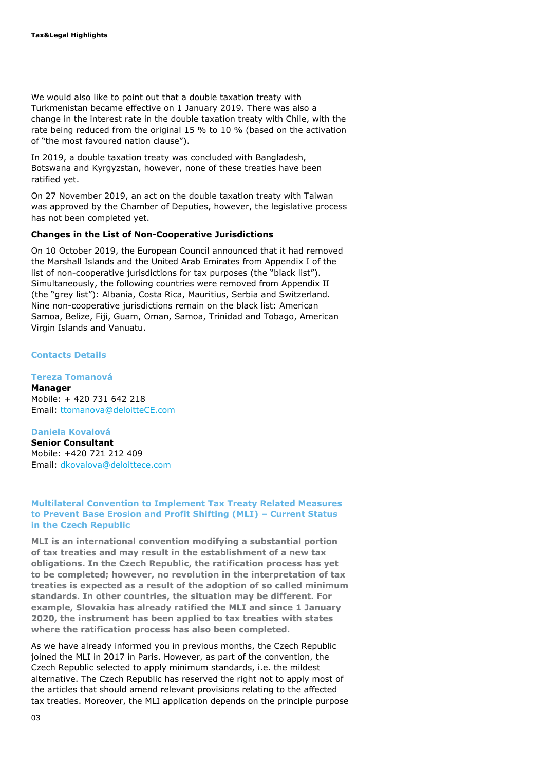We would also like to point out that a double taxation treaty with Turkmenistan became effective on 1 January 2019. There was also a change in the interest rate in the double taxation treaty with Chile, with the rate being reduced from the original 15 % to 10 % (based on the activation of "the most favoured nation clause").

In 2019, a double taxation treaty was concluded with Bangladesh, Botswana and Kyrgyzstan, however, none of these treaties have been ratified yet.

On 27 November 2019, an act on the double taxation treaty with Taiwan was approved by the Chamber of Deputies, however, the legislative process has not been completed yet.

#### **Changes in the List of Non-Cooperative Jurisdictions**

On 10 October 2019, the European Council announced that it had removed the Marshall Islands and the United Arab Emirates from Appendix I of the list of non-cooperative jurisdictions for tax purposes (the "black list"). Simultaneously, the following countries were removed from Appendix II (the "grey list"): Albania, Costa Rica, Mauritius, Serbia and Switzerland. Nine non-cooperative jurisdictions remain on the black list: American Samoa, Belize, Fiji, Guam, Oman, Samoa, Trinidad and Tobago, American Virgin Islands and Vanuatu.

#### **Contacts Details**

**Tereza Tomanová Manager** Mobile: + 420 731 642 218 Email: [ttomanova@deloitteCE.com](mailto:ttomanova@deloitteCE.com)

#### **Daniela Kovalová**

**Senior Consultant** Mobile: +420 721 212 409 Email: dkovalova@deloittece.com

#### **Multilateral Convention to Implement Tax Treaty Related Measures to Prevent Base Erosion and Profit Shifting (MLI) – Current Status in the Czech Republic**

**MLI is an international convention modifying a substantial portion of tax treaties and may result in the establishment of a new tax obligations. In the Czech Republic, the ratification process has yet to be completed; however, no revolution in the interpretation of tax treaties is expected as a result of the adoption of so called minimum standards. In other countries, the situation may be different. For example, Slovakia has already ratified the MLI and since 1 January 2020, the instrument has been applied to tax treaties with states where the ratification process has also been completed.**

As we have already informed you in previous months, the Czech Republic joined the MLI in 2017 in Paris. However, as part of the convention, the Czech Republic selected to apply minimum standards, i.e. the mildest alternative. The Czech Republic has reserved the right not to apply most of the articles that should amend relevant provisions relating to the affected tax treaties. Moreover, the MLI application depends on the principle purpose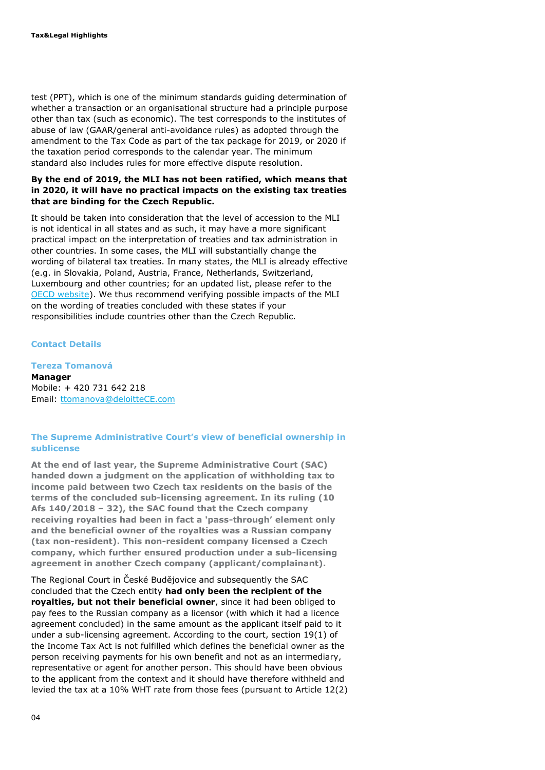test (PPT), which is one of the minimum standards guiding determination of whether a transaction or an organisational structure had a principle purpose other than tax (such as economic). The test corresponds to the institutes of abuse of law (GAAR/general anti-avoidance rules) as adopted through the amendment to the Tax Code as part of the tax package for 2019, or 2020 if the taxation period corresponds to the calendar year. The minimum standard also includes rules for more effective dispute resolution.

#### **By the end of 2019, the MLI has not been ratified, which means that in 2020, it will have no practical impacts on the existing tax treaties that are binding for the Czech Republic.**

It should be taken into consideration that the level of accession to the MLI is not identical in all states and as such, it may have a more significant practical impact on the interpretation of treaties and tax administration in other countries. In some cases, the MLI will substantially change the wording of bilateral tax treaties. In many states, the MLI is already effective (e.g. in Slovakia, Poland, Austria, France, Netherlands, Switzerland, Luxembourg and other countries; for an updated list, please refer to the [OECD website\)](https://www.oecd.org/tax/treaties/beps-mli-signatories-and-parties.pdf). We thus recommend verifying possible impacts of the MLI on the wording of treaties concluded with these states if your responsibilities include countries other than the Czech Republic.

#### **Contact Details**

**Tereza Tomanová** 

**Manager** Mobile: + 420 731 642 218 Email: [ttomanova@deloitteCE.com](mailto:ttomanova@deloitteCE.com)

#### **The Supreme Administrative Court's view of beneficial ownership in sublicense**

**At the end of last year, the Supreme Administrative Court (SAC) handed down a judgment on the application of withholding tax to income paid between two Czech tax residents on the basis of the terms of the concluded sub-licensing agreement. In its ruling (10 Afs 140/2018 – 32), the SAC found that the Czech company receiving royalties had been in fact a 'pass-through' element only and the beneficial owner of the royalties was a Russian company (tax non-resident). This non-resident company licensed a Czech company, which further ensured production under a sub-licensing agreement in another Czech company (applicant/complainant).**

The Regional Court in České Budějovice and subsequently the SAC concluded that the Czech entity **had only been the recipient of the royalties, but not their beneficial owner**, since it had been obliged to pay fees to the Russian company as a licensor (with which it had a licence agreement concluded) in the same amount as the applicant itself paid to it under a sub-licensing agreement. According to the court, section 19(1) of the Income Tax Act is not fulfilled which defines the beneficial owner as the person receiving payments for his own benefit and not as an intermediary, representative or agent for another person. This should have been obvious to the applicant from the context and it should have therefore withheld and levied the tax at a 10% WHT rate from those fees (pursuant to Article 12(2)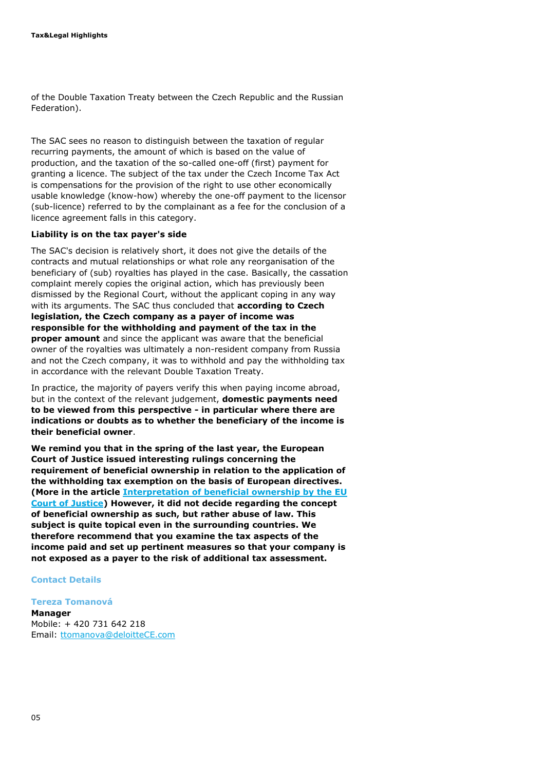of the Double Taxation Treaty between the Czech Republic and the Russian Federation).

The SAC sees no reason to distinguish between the taxation of regular recurring payments, the amount of which is based on the value of production, and the taxation of the so-called one-off (first) payment for granting a licence. The subject of the tax under the Czech Income Tax Act is compensations for the provision of the right to use other economically usable knowledge (know-how) whereby the one-off payment to the licensor (sub-licence) referred to by the complainant as a fee for the conclusion of a licence agreement falls in this category.

#### **Liability is on the tax payer's side**

The SAC's decision is relatively short, it does not give the details of the contracts and mutual relationships or what role any reorganisation of the beneficiary of (sub) royalties has played in the case. Basically, the cassation complaint merely copies the original action, which has previously been dismissed by the Regional Court, without the applicant coping in any way with its arguments. The SAC thus concluded that **according to Czech legislation, the Czech company as a payer of income was responsible for the withholding and payment of the tax in the proper amount** and since the applicant was aware that the beneficial owner of the royalties was ultimately a non-resident company from Russia and not the Czech company, it was to withhold and pay the withholding tax in accordance with the relevant Double Taxation Treaty.

In practice, the majority of payers verify this when paying income abroad, but in the context of the relevant judgement, **domestic payments need to be viewed from this perspective - in particular where there are indications or doubts as to whether the beneficiary of the income is their beneficial owner**.

**We remind you that in the spring of the last year, the European Court of Justice issued interesting rulings concerning the requirement of beneficial ownership in relation to the application of the withholding tax exemption on the basis of European directives. (More in the article [Interpretation of beneficial ownership by the EU](https://www.dreport.cz/blog/vyklad-skutecneho-vlastnictvi-soudnim-dvorem-eu/)  [Court of Justice\)](https://www.dreport.cz/blog/vyklad-skutecneho-vlastnictvi-soudnim-dvorem-eu/) However, it did not decide regarding the concept of beneficial ownership as such, but rather abuse of law. This subject is quite topical even in the surrounding countries. We therefore recommend that you examine the tax aspects of the income paid and set up pertinent measures so that your company is not exposed as a payer to the risk of additional tax assessment.**

#### **Contact Details**

#### **Tereza Tomanová**

**Manager** Mobile: + 420 731 642 218 Email: [ttomanova@deloitteCE.com](mailto:ttomanova@deloitteCE.com)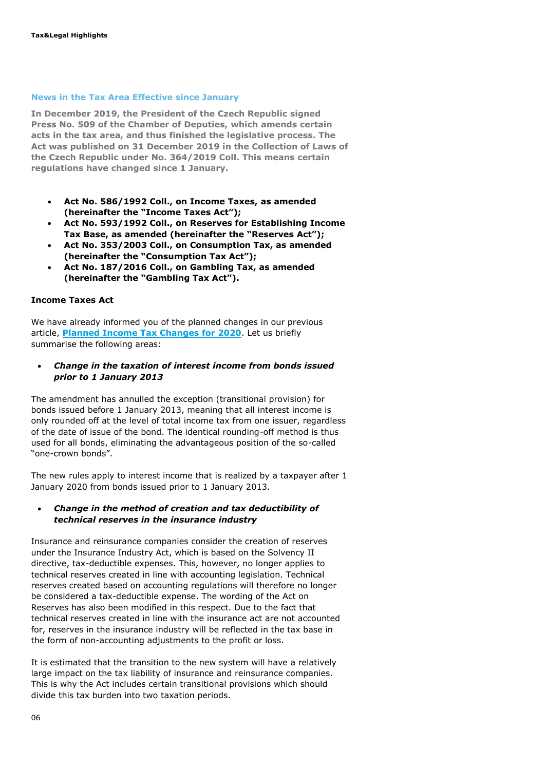#### **News in the Tax Area Effective since January**

**In December 2019, the President of the Czech Republic signed Press No. [509](http://www.psp.cz/sqw/tisky.sqw?O=8&T=509) of the Chamber of Deputies, which amends certain acts in the tax area, and thus finished the legislative process. The Act was published on 31 December 2019 in the Collection of Laws of the Czech Republic under No. [364/2019](http://www.psp.cz/sqw/sbirka.sqw?O=8&T=509) Coll. This means certain regulations have changed since 1 January.**

- **Act No. 586/1992 Coll., on Income Taxes, as amended (hereinafter the "Income Taxes Act");**
- **Act No. 593/1992 Coll., on Reserves for Establishing Income Tax Base, as amended (hereinafter the "Reserves Act");**
- **Act No. 353/2003 Coll., on Consumption Tax, as amended (hereinafter the "Consumption Tax Act");**
- **Act No. 187/2016 Coll., on Gambling Tax, as amended (hereinafter the "Gambling Tax Act").**

#### **Income Taxes Act**

We have already informed you of the planned changes in our previous article, **[Planned Income Tax Changes for 2020](https://www.dreport.cz/en/blog/planned-income-tax-changes-for-2020/)**. Let us briefly summarise the following areas:

 *Change in the taxation of interest income from bonds issued prior to 1 January 2013* 

The amendment has annulled the exception (transitional provision) for bonds issued before 1 January 2013, meaning that all interest income is only rounded off at the level of total income tax from one issuer, regardless of the date of issue of the bond. The identical rounding-off method is thus used for all bonds, eliminating the advantageous position of the so-called "one-crown bonds".

The new rules apply to interest income that is realized by a taxpayer after 1 January 2020 from bonds issued prior to 1 January 2013.

#### *Change in the method of creation and tax deductibility of technical reserves in the insurance industry*

Insurance and reinsurance companies consider the creation of reserves under the Insurance Industry Act, which is based on the Solvency II directive, tax-deductible expenses. This, however, no longer applies to technical reserves created in line with accounting legislation. Technical reserves created based on accounting regulations will therefore no longer be considered a tax-deductible expense. The wording of the Act on Reserves has also been modified in this respect. Due to the fact that technical reserves created in line with the insurance act are not accounted for, reserves in the insurance industry will be reflected in the tax base in the form of non-accounting adjustments to the profit or loss.

It is estimated that the transition to the new system will have a relatively large impact on the tax liability of insurance and reinsurance companies. This is why the Act includes certain transitional provisions which should divide this tax burden into two taxation periods.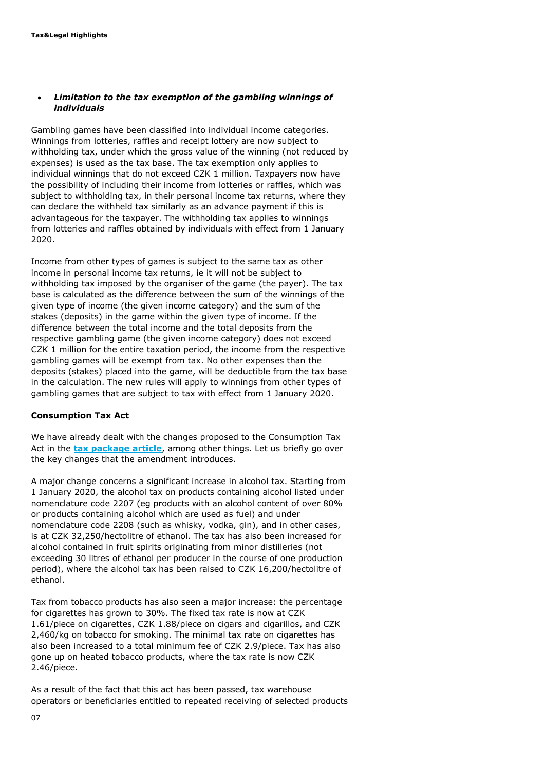#### *Limitation to the tax exemption of the gambling winnings of individuals*

Gambling games have been classified into individual income categories. Winnings from lotteries, raffles and receipt lottery are now subject to withholding tax, under which the gross value of the winning (not reduced by expenses) is used as the tax base. The tax exemption only applies to individual winnings that do not exceed CZK 1 million. Taxpayers now have the possibility of including their income from lotteries or raffles, which was subject to withholding tax, in their personal income tax returns, where they can declare the withheld tax similarly as an advance payment if this is advantageous for the taxpayer. The withholding tax applies to winnings from lotteries and raffles obtained by individuals with effect from 1 January 2020.

Income from other types of games is subject to the same tax as other income in personal income tax returns, ie it will not be subject to withholding tax imposed by the organiser of the game (the payer). The tax base is calculated as the difference between the sum of the winnings of the given type of income (the given income category) and the sum of the stakes (deposits) in the game within the given type of income. If the difference between the total income and the total deposits from the respective gambling game (the given income category) does not exceed CZK 1 million for the entire taxation period, the income from the respective gambling games will be exempt from tax. No other expenses than the deposits (stakes) placed into the game, will be deductible from the tax base in the calculation. The new rules will apply to winnings from other types of gambling games that are subject to tax with effect from 1 January 2020.

#### **Consumption Tax Act**

We have already dealt with the changes proposed to the Consumption Tax Act in the **[tax package article](https://www.dreport.cz/en/blog/tax-package-introducing-changes-in-consumption-and-gambling-taxes-passed-by-the-chamber-of-deputies/)**, among other things. Let us briefly go over the key changes that the amendment introduces.

A major change concerns a significant increase in alcohol tax. Starting from 1 January 2020, the alcohol tax on products containing alcohol listed under nomenclature code 2207 (eg products with an alcohol content of over 80% or products containing alcohol which are used as fuel) and under nomenclature code 2208 (such as whisky, vodka, gin), and in other cases, is at CZK 32,250/hectolitre of ethanol. The tax has also been increased for alcohol contained in fruit spirits originating from minor distilleries (not exceeding 30 litres of ethanol per producer in the course of one production period), where the alcohol tax has been raised to CZK 16,200/hectolitre of ethanol.

Tax from tobacco products has also seen a major increase: the percentage for cigarettes has grown to 30%. The fixed tax rate is now at CZK 1.61/piece on cigarettes, CZK 1.88/piece on cigars and cigarillos, and CZK 2,460/kg on tobacco for smoking. The minimal tax rate on cigarettes has also been increased to a total minimum fee of CZK 2.9/piece. Tax has also gone up on heated tobacco products, where the tax rate is now CZK 2.46/piece.

As a result of the fact that this act has been passed, tax warehouse operators or beneficiaries entitled to repeated receiving of selected products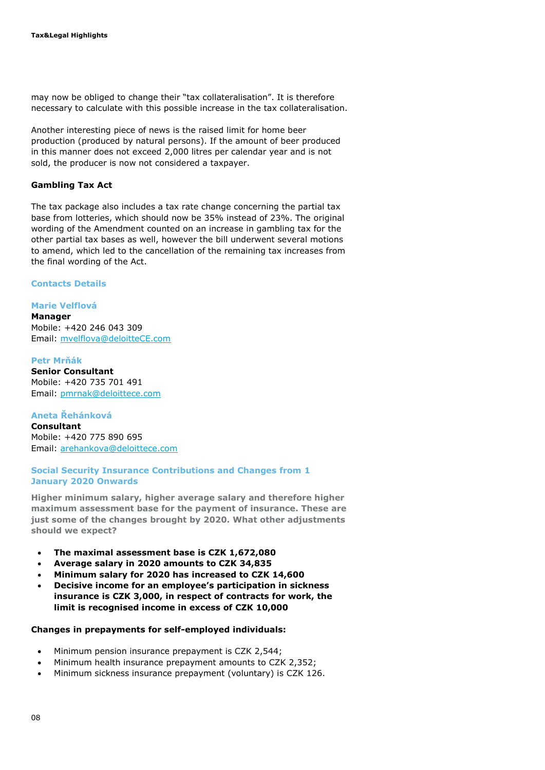may now be obliged to change their "tax collateralisation". It is therefore necessary to calculate with this possible increase in the tax collateralisation.

Another interesting piece of news is the raised limit for home beer production (produced by natural persons). If the amount of beer produced in this manner does not exceed 2,000 litres per calendar year and is not sold, the producer is now not considered a taxpayer.

#### **Gambling Tax Act**

The tax package also includes a tax rate change concerning the partial tax base from lotteries, which should now be 35% instead of 23%. The original wording of the Amendment counted on an increase in gambling tax for the other partial tax bases as well, however the bill underwent several motions to amend, which led to the cancellation of the remaining tax increases from the final wording of the Act.

#### **Contacts Details**

#### **Marie Velflová**

**Manager** Mobile: +420 246 043 309 Email: [mvelflova@deloitteCE.com](mailto:mvelflova@deloitteCE.com)

#### **Petr Mrňák**

**Senior Consultant** Mobile: +420 735 701 491 Email: [pmrnak@deloittece.com](mailto:pmrnak@deloittece.com)

#### **Aneta Řehánková**

**Consultant** Mobile: +420 775 890 695 Email: [arehankova@deloittece.com](mailto:arehankova@deloittece.com)

#### **Social Security Insurance Contributions and Changes from 1 January 2020 Onwards**

**Higher minimum salary, higher average salary and therefore higher maximum assessment base for the payment of insurance. These are just some of the changes brought by 2020. What other adjustments should we expect?** 

- **The maximal assessment base is CZK 1,672,080**
- **Average salary in 2020 amounts to CZK 34,835**
- **Minimum salary for 2020 has increased to CZK 14,600**
- **Decisive income for an employee's participation in sickness insurance is CZK 3,000, in respect of contracts for work, the limit is recognised income in excess of CZK 10,000**

#### **Changes in prepayments for self-employed individuals:**

- Minimum pension insurance prepayment is CZK 2,544;
- Minimum health insurance prepayment amounts to CZK 2,352;
- Minimum sickness insurance prepayment (voluntary) is CZK 126.